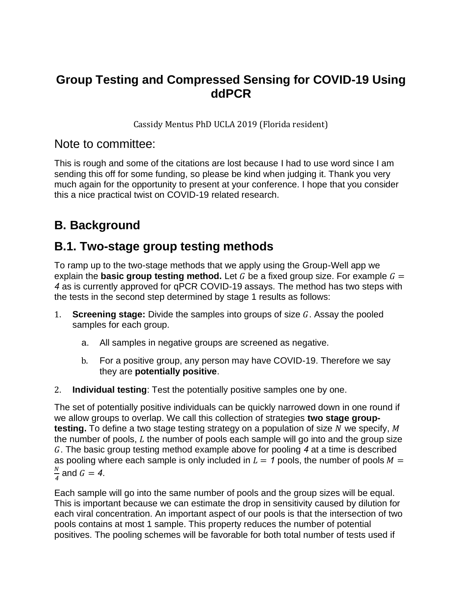## **Group Testing and Compressed Sensing for COVID-19 Using ddPCR**

Cassidy Mentus PhD UCLA 2019 (Florida resident)

### Note to committee:

This is rough and some of the citations are lost because I had to use word since I am sending this off for some funding, so please be kind when judging it. Thank you very much again for the opportunity to present at your conference. I hope that you consider this a nice practical twist on COVID-19 related research.

# **B. Background**

## **B.1. Two-stage group testing methods**

To ramp up to the two-stage methods that we apply using the Group-Well app we explain the **basic group testing method.** Let G be a fixed group size. For example  $G =$ *4* as is currently approved for qPCR COVID-19 assays. The method has two steps with the tests in the second step determined by stage 1 results as follows:

- 1. **Screening stage:** Divide the samples into groups of size G. Assay the pooled samples for each group.
	- a. All samples in negative groups are screened as negative.
	- b. For a positive group, any person may have COVID-19. Therefore we say they are **potentially positive**.
- 2. **Individual testing**: Test the potentially positive samples one by one.

The set of potentially positive individuals can be quickly narrowed down in one round if we allow groups to overlap. We call this collection of strategies **two stage grouptesting.** To define a two stage testing strategy on a population of size N we specify, M the number of pools,  $L$  the number of pools each sample will go into and the group size . The basic group testing method example above for pooling *4* at a time is described as pooling where each sample is only included in  $L = 1$  pools, the number of pools  $M =$ N  $\frac{a}{4}$  and  $G = 4$ .

Each sample will go into the same number of pools and the group sizes will be equal. This is important because we can estimate the drop in sensitivity caused by dilution for each viral concentration. An important aspect of our pools is that the intersection of two pools contains at most 1 sample. This property reduces the number of potential positives. The pooling schemes will be favorable for both total number of tests used if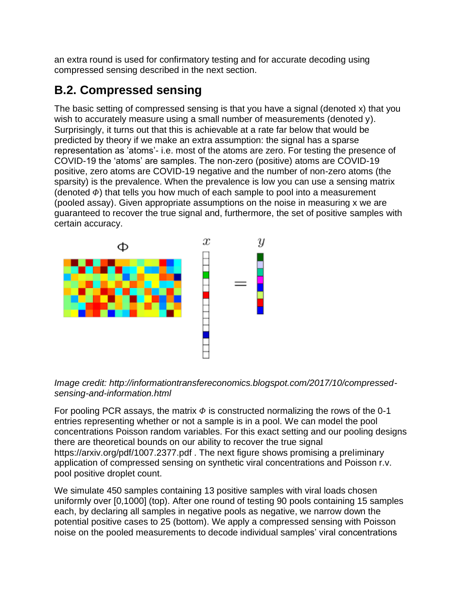an extra round is used for confirmatory testing and for accurate decoding using compressed sensing described in the next section.

# **B.2. Compressed sensing**

The basic setting of compressed sensing is that you have a signal (denoted x) that you wish to accurately measure using a small number of measurements (denoted y). Surprisingly, it turns out that this is achievable at a rate far below that would be predicted by theory if we make an extra assumption: the signal has a sparse representation as 'atoms'- i.e. most of the atoms are zero. For testing the presence of COVID-19 the 'atoms' are samples. The non-zero (positive) atoms are COVID-19 positive, zero atoms are COVID-19 negative and the number of non-zero atoms (the sparsity) is the prevalence. When the prevalence is low you can use a sensing matrix (denoted  $\Phi$ ) that tells you how much of each sample to pool into a measurement (pooled assay). Given appropriate assumptions on the noise in measuring x we are guaranteed to recover the true signal and, furthermore, the set of positive samples with certain accuracy.



#### *Image credit: http://informationtransfereconomics.blogspot.com/2017/10/compressedsensing-and-information.html*

For pooling PCR assays, the matrix  $\Phi$  is constructed normalizing the rows of the 0-1 entries representing whether or not a sample is in a pool. We can model the pool concentrations Poisson random variables. For this exact setting and our pooling designs there are theoretical bounds on our ability to recover the true signal https://arxiv.org/pdf/1007.2377.pdf . The next figure shows promising a preliminary application of compressed sensing on synthetic viral concentrations and Poisson r.v. pool positive droplet count.

We simulate 450 samples containing 13 positive samples with viral loads chosen uniformly over [0,1000] (top). After one round of testing 90 pools containing 15 samples each, by declaring all samples in negative pools as negative, we narrow down the potential positive cases to 25 (bottom). We apply a compressed sensing with Poisson noise on the pooled measurements to decode individual samples' viral concentrations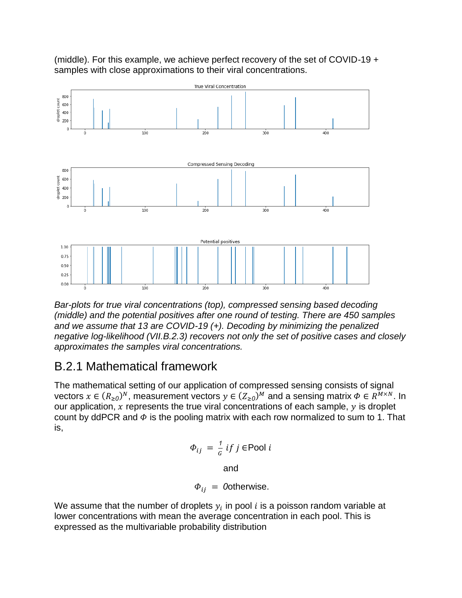



*Bar-plots for true viral concentrations (top), compressed sensing based decoding (middle) and the potential positives after one round of testing. There are 450 samples and we assume that 13 are COVID-19 (+). Decoding by minimizing the penalized negative log-likelihood (VII.B.2.3) recovers not only the set of positive cases and closely approximates the samples viral concentrations.*

## B.2.1 Mathematical framework

The mathematical setting of our application of compressed sensing consists of signal vectors  $x\in (R_{\geq 0})^N,$  measurement vectors  $y\in (Z_{\geq 0})^M$  and a sensing matrix  $\varPhi\in R^{M\times N}.$  In our application,  $\hat{x}$  represents the true viral concentrations of each sample,  $\hat{y}$  is droplet count by ddPCR and  $\Phi$  is the pooling matrix with each row normalized to sum to 1. That is,

$$
\Phi_{ij} = \frac{1}{G} \text{ if } j \in \text{Pool } i
$$

and

$$
\Phi_{ij} = \text{0} \text{otherwise.}
$$

We assume that the number of droplets  $y_i$  in pool  $i$  is a poisson random variable at lower concentrations with mean the average concentration in each pool. This is expressed as the multivariable probability distribution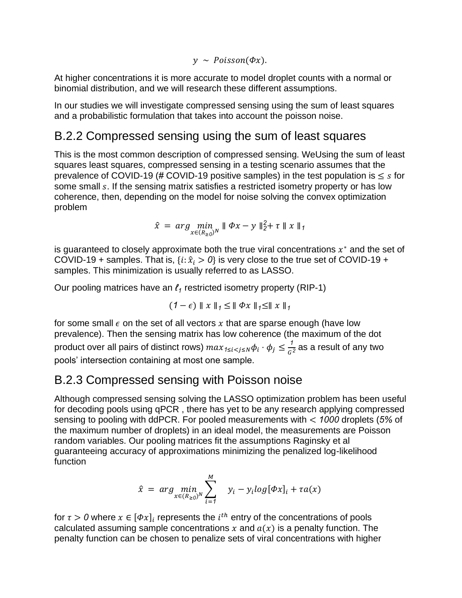$$
y \sim Poisson(\phi x).
$$

At higher concentrations it is more accurate to model droplet counts with a normal or binomial distribution, and we will research these different assumptions.

In our studies we will investigate compressed sensing using the sum of least squares and a probabilistic formulation that takes into account the poisson noise.

### B.2.2 Compressed sensing using the sum of least squares

This is the most common description of compressed sensing. WeUsing the sum of least squares least squares, compressed sensing in a testing scenario assumes that the prevalence of COVID-19 (# COVID-19 positive samples) in the test population is  $\leq s$  for some small s. If the sensing matrix satisfies a restricted isometry property or has low coherence, then, depending on the model for noise solving the convex optimization problem

$$
\hat{x} = arg \min_{x \in (R_{\geq 0})^N} \| \Phi x - y \|_{2}^2 + \tau \| x \|_{1}
$$

is guaranteed to closely approximate both the true viral concentrations  $x^*$  and the set of COVID-19 + samples. That is,  $\{i: \hat{x}_i > 0\}$  is very close to the true set of COVID-19 + samples. This minimization is usually referred to as LASSO.

Our pooling matrices have an *ℓ<sup>1</sup>* restricted isometry property (RIP-1)

$$
(1 - \epsilon) \parallel x \parallel_1 \leq \parallel \Phi x \parallel_1 \leq \parallel x \parallel_1
$$

for some small  $\epsilon$  on the set of all vectors x that are sparse enough (have low prevalence). Then the sensing matrix has low coherence (the maximum of the dot product over all pairs of distinct rows)  $max_{1 \le i < j \le N} \phi_i \cdot \phi_j \le \frac{1}{c^2}$  $\frac{7}{6^2}$  as a result of any two pools' intersection containing at most one sample.

## B.2.3 Compressed sensing with Poisson noise

Although compressed sensing solving the LASSO optimization problem has been useful for decoding pools using qPCR , there has yet to be any research applying compressed sensing to pooling with ddPCR. For pooled measurements with < *1000* droplets (*5%* of the maximum number of droplets) in an ideal model, the measurements are Poisson random variables. Our pooling matrices fit the assumptions Raginsky et al guaranteeing accuracy of approximations minimizing the penalized log-likelihood function

$$
\hat{x} = arg \min_{x \in (R_{\geq 0})^N} \sum_{i=1}^M y_i - y_i log[\Phi x]_i + \tau a(x)
$$

for  $\tau > 0$  where  $x \in [\Phi x]_i$  represents the  $i^{th}$  entry of the concentrations of pools calculated assuming sample concentrations x and  $a(x)$  is a penalty function. The penalty function can be chosen to penalize sets of viral concentrations with higher